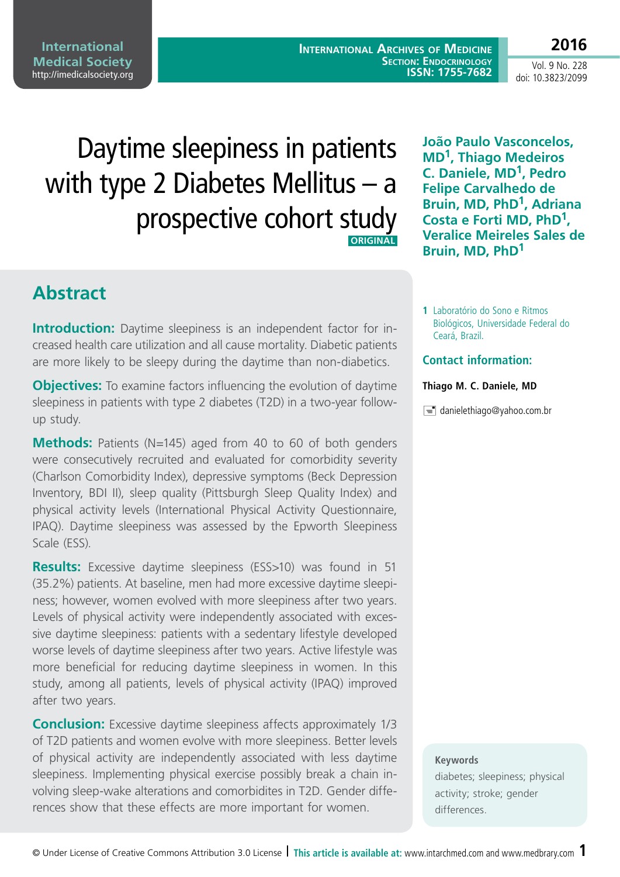© Under License of Creative Commons Attribution 3.0 License **| This article is available at:** www.intarchmed.com and [www.medbrary.com](http://www.medbrary.com) 1

#### **International Medical Society**  <http://imedicalsociety.org>

**International Archives of Medicine SECTION: ENDOCRINOLOGY ISSN: 1755-7682**

Vol. 9 No. 228 doi: 10.3823/2099

**2016**

# Daytime sleepiness in patients with type 2 Diabetes Mellitus – a prospective cohort study  **ORIGINAL**

**Abstract**

**Introduction:** Daytime sleepiness is an independent factor for increased health care utilization and all cause mortality. Diabetic patients are more likely to be sleepy during the daytime than non-diabetics.

**Objectives:** To examine factors influencing the evolution of daytime sleepiness in patients with type 2 diabetes (T2D) in a two-year followup study.

**Methods:** Patients (N=145) aged from 40 to 60 of both genders were consecutively recruited and evaluated for comorbidity severity (Charlson Comorbidity Index), depressive symptoms (Beck Depression Inventory, BDI II), sleep quality (Pittsburgh Sleep Quality Index) and physical activity levels (International Physical Activity Questionnaire, IPAQ). Daytime sleepiness was assessed by the Epworth Sleepiness Scale (ESS).

**Results:** Excessive daytime sleepiness (ESS>10) was found in 51 (35.2%) patients. At baseline, men had more excessive daytime sleepiness; however, women evolved with more sleepiness after two years. Levels of physical activity were independently associated with excessive daytime sleepiness: patients with a sedentary lifestyle developed worse levels of daytime sleepiness after two years. Active lifestyle was more beneficial for reducing daytime sleepiness in women. In this study, among all patients, levels of physical activity (IPAQ) improved after two years.

**Conclusion:** Excessive daytime sleepiness affects approximately 1/3 of T2D patients and women evolve with more sleepiness. Better levels of physical activity are independently associated with less daytime sleepiness. Implementing physical exercise possibly break a chain involving sleep-wake alterations and comorbidites in T2D. Gender differences show that these effects are more important for women.

**João Paulo Vasconcelos, MD1, Thiago Medeiros C. Daniele, MD1, Pedro Felipe Carvalhedo de Bruin, MD, PhD1, Adriana Costa e Forti MD, PhD1, Veralice Meireles Sales de Bruin, MD, PhD1**

**1** Laboratório do Sono e Ritmos Biológicos, Universidade Federal do Ceará, Brazil.

#### **Contact information:**

#### **Thiago M. C. Daniele, MD**

 $\equiv$  [danielethiago@yahoo.com.br](mailto:danielethiago@yahoo.com.br)

#### **Keywords**

diabetes; sleepiness; physical activity; stroke; gender differences.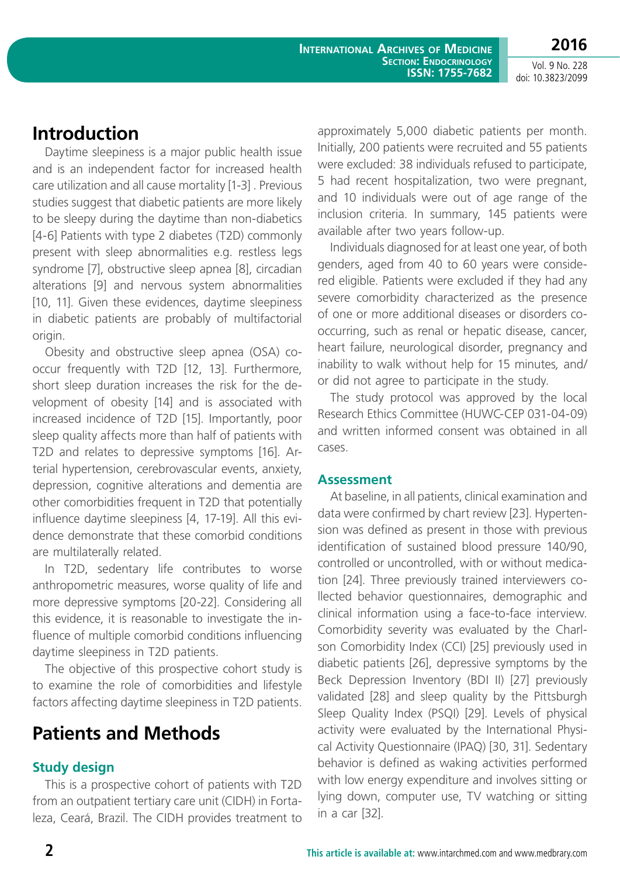**International Archives of Medicine SECTION: ENDOCRINOLOGY ISSN: 1755-7682**

Vol. 9 No. 228 doi: 10.3823/2099

**2016**

# **Introduction**

Daytime sleepiness is a major public health issue and is an independent factor for increased health care utilization and all cause mortality [1-3] . Previous studies suggest that diabetic patients are more likely to be sleepy during the daytime than non-diabetics [4-6] Patients with type 2 diabetes (T2D) commonly present with sleep abnormalities e.g. restless legs syndrome [7], obstructive sleep apnea [8], circadian alterations [9] and nervous system abnormalities [10, 11]. Given these evidences, daytime sleepiness in diabetic patients are probably of multifactorial origin.

Obesity and obstructive sleep apnea (OSA) cooccur frequently with T2D [12, 13]. Furthermore, short sleep duration increases the risk for the development of obesity [14] and is associated with increased incidence of T2D [15]. Importantly, poor sleep quality affects more than half of patients with T2D and relates to depressive symptoms [16]. Arterial hypertension, cerebrovascular events, anxiety, depression, cognitive alterations and dementia are other comorbidities frequent in T2D that potentially influence daytime sleepiness [4, 17-19]. All this evidence demonstrate that these comorbid conditions are multilaterally related.

In T2D, sedentary life contributes to worse anthropometric measures, worse quality of life and more depressive symptoms [20-22]. Considering all this evidence, it is reasonable to investigate the influence of multiple comorbid conditions influencing daytime sleepiness in T2D patients.

The objective of this prospective cohort study is to examine the role of comorbidities and lifestyle factors affecting daytime sleepiness in T2D patients.

# **Patients and Methods**

#### **Study design**

This is a prospective cohort of patients with T2D from an outpatient tertiary care unit (CIDH) in Fortaleza, Ceará, Brazil. The CIDH provides treatment to approximately 5,000 diabetic patients per month. Initially, 200 patients were recruited and 55 patients were excluded: 38 individuals refused to participate, 5 had recent hospitalization, two were pregnant, and 10 individuals were out of age range of the inclusion criteria. In summary, 145 patients were available after two years follow-up.

Individuals diagnosed for at least one year, of both genders, aged from 40 to 60 years were considered eligible. Patients were excluded if they had any severe comorbidity characterized as the presence of one or more additional diseases or disorders cooccurring, such as renal or hepatic disease, cancer, heart failure, neurological disorder, pregnancy and inability to walk without help for 15 minutes*,* and/ or did not agree to participate in the study.

The study protocol was approved by the local Research Ethics Committee (HUWC-CEP 031-04-09) and written informed consent was obtained in all cases.

#### **Assessment**

At baseline, in all patients, clinical examination and data were confirmed by chart review [23]. Hypertension was defined as present in those with previous identification of sustained blood pressure 140/90, controlled or uncontrolled, with or without medication [24]. Three previously trained interviewers collected behavior questionnaires, demographic and clinical information using a face-to-face interview. Comorbidity severity was evaluated by the Charlson Comorbidity Index (CCI) [25] previously used in diabetic patients [26], depressive symptoms by the Beck Depression Inventory (BDI II) [27] previously validated [28] and sleep quality by the Pittsburgh Sleep Quality Index (PSQI) [29]. Levels of physical activity were evaluated by the International Physical Activity Questionnaire (IPAQ) [30, 31]. Sedentary behavior is defined as waking activities performed with low energy expenditure and involves sitting or lying down, computer use, TV watching or sitting in a car [32].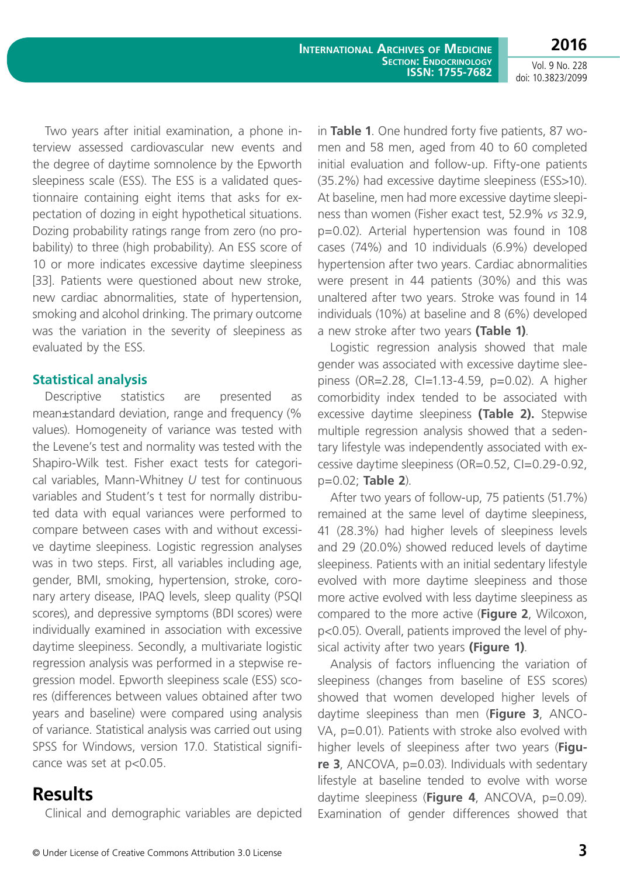**2016**

Two years after initial examination, a phone interview assessed cardiovascular new events and the degree of daytime somnolence by the Epworth sleepiness scale (ESS). The ESS is a validated questionnaire containing eight items that asks for expectation of dozing in eight hypothetical situations. Dozing probability ratings range from zero (no probability) to three (high probability). An ESS score of 10 or more indicates excessive daytime sleepiness [33]. Patients were questioned about new stroke, new cardiac abnormalities, state of hypertension, smoking and alcohol drinking. The primary outcome was the variation in the severity of sleepiness as evaluated by the ESS*.*

#### **Statistical analysis**

Descriptive statistics are presented as mean±standard deviation, range and frequency (% values). Homogeneity of variance was tested with the Levene's test and normality was tested with the Shapiro-Wilk test. Fisher exact tests for categorical variables, Mann-Whitney *U* test for continuous variables and Student's t test for normally distributed data with equal variances were performed to compare between cases with and without excessive daytime sleepiness. Logistic regression analyses was in two steps. First, all variables including age, gender, BMI, smoking, hypertension, stroke, coronary artery disease, IPAQ levels, sleep quality (PSQI scores), and depressive symptoms (BDI scores) were individually examined in association with excessive daytime sleepiness. Secondly, a multivariate logistic regression analysis was performed in a stepwise regression model. Epworth sleepiness scale (ESS) scores (differences between values obtained after two years and baseline) were compared using analysis of variance. Statistical analysis was carried out using SPSS for Windows, version 17.0. Statistical significance was set at p<0.05.

### **Results**

Clinical and demographic variables are depicted

in **Table 1**. One hundred forty five patients, 87 women and 58 men, aged from 40 to 60 completed initial evaluation and follow-up. Fifty-one patients (35.2%) had excessive daytime sleepiness (ESS>10). At baseline, men had more excessive daytime sleepiness than women (Fisher exact test, 52.9% *vs* 32.9, p=0.02). Arterial hypertension was found in 108 cases (74%) and 10 individuals (6.9%) developed hypertension after two years. Cardiac abnormalities were present in 44 patients (30%) and this was unaltered after two years. Stroke was found in 14 individuals (10%) at baseline and 8 (6%) developed a new stroke after two years **(Table 1)**.

Logistic regression analysis showed that male gender was associated with excessive daytime sleepiness (OR=2.28, CI=1.13-4.59, p=0.02). A higher comorbidity index tended to be associated with excessive daytime sleepiness **(Table 2).** Stepwise multiple regression analysis showed that a sedentary lifestyle was independently associated with excessive daytime sleepiness (OR=0.52, CI=0.29-0.92, p=0.02; **Table 2**).

After two years of follow-up, 75 patients (51.7%) remained at the same level of daytime sleepiness, 41 (28.3%) had higher levels of sleepiness levels and 29 (20.0%) showed reduced levels of daytime sleepiness. Patients with an initial sedentary lifestyle evolved with more daytime sleepiness and those more active evolved with less daytime sleepiness as compared to the more active (**Figure 2**, Wilcoxon, p<0.05). Overall, patients improved the level of physical activity after two years **(Figure 1)**.

Analysis of factors influencing the variation of sleepiness (changes from baseline of ESS scores) showed that women developed higher levels of daytime sleepiness than men (**Figure 3**, ANCO-VA, p=0.01). Patients with stroke also evolved with higher levels of sleepiness after two years (**Figure 3**, ANCOVA, p=0.03). Individuals with sedentary lifestyle at baseline tended to evolve with worse daytime sleepiness (Figure 4, ANCOVA, p=0.09). Examination of gender differences showed that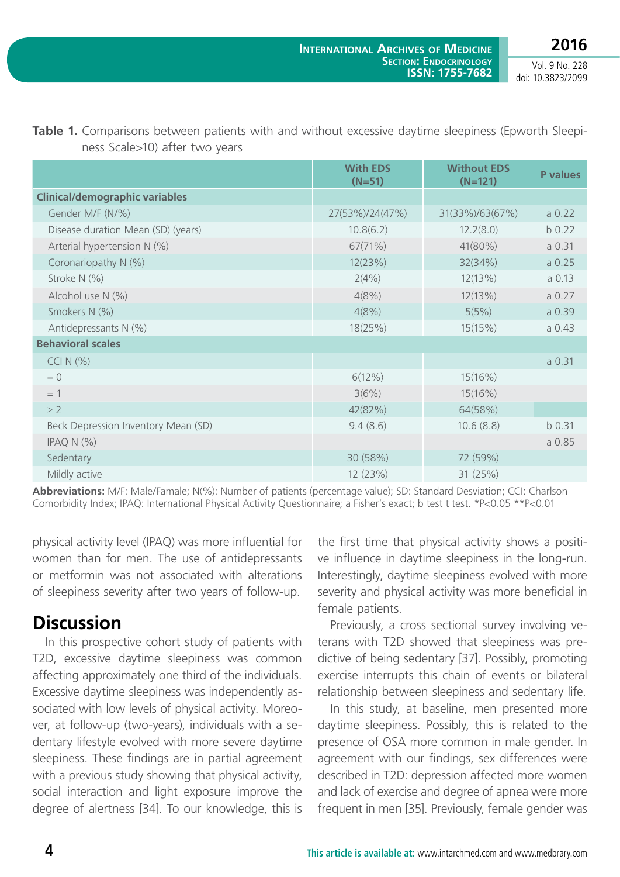**2016**

Vol. 9 No. 228 doi: 10.3823/2099

|                                       | <b>With EDS</b><br>$(N=51)$ | <b>Without EDS</b><br>$(N=121)$ | P values |  |
|---------------------------------------|-----------------------------|---------------------------------|----------|--|
| <b>Clinical/demographic variables</b> |                             |                                 |          |  |
| Gender M/F (N/%)                      | 27(53%)/24(47%)             | 31(33%)/63(67%)                 | a 0.22   |  |
| Disease duration Mean (SD) (years)    | 10.8(6.2)                   | 12.2(8.0)                       | b 0.22   |  |
| Arterial hypertension N (%)           | 67(71%)                     | 41(80%)                         | a 0.31   |  |
| Coronariopathy N (%)                  | 12(23%)                     | 32(34%)                         | a 0.25   |  |
| Stroke N (%)                          | 2(4%)                       | 12(13%)                         | a 0.13   |  |
| Alcohol use N (%)                     | 4(8%)                       | 12(13%)                         | a 0.27   |  |
| Smokers N (%)                         | 4(8%)                       | 5(5%)                           | a 0.39   |  |
| Antidepressants N (%)                 | 18(25%)                     | 15(15%)                         | a 0.43   |  |
| <b>Behavioral scales</b>              |                             |                                 |          |  |
| CCIN(%)                               |                             |                                 | a 0.31   |  |
| $= 0$                                 | $6(12\%)$                   | 15(16%)                         |          |  |
| $=$ 1                                 | 3(6%)                       | 15(16%)                         |          |  |
| $\geq$ 2                              | 42(82%)                     | 64(58%)                         |          |  |
| Beck Depression Inventory Mean (SD)   | 9.4(8.6)                    | 10.6(8.8)                       | b 0.31   |  |
| IPAQ $N$ $(\%)$                       |                             |                                 | a 0.85   |  |
| Sedentary                             | 30 (58%)                    | 72 (59%)                        |          |  |
| Mildly active                         | 12 (23%)                    | 31 (25%)                        |          |  |

**Table 1.** Comparisons between patients with and without excessive daytime sleepiness (Epworth Sleepiness Scale>10) after two years

**Abbreviations:** M/F: Male/Famale; N(%): Number of patients (percentage value); SD: Standard Desviation; CCI: Charlson Comorbidity Index; IPAQ: [International Physical Activity Questionnaire](http://www.ipaq.ki.se/); a Fisher's exact; b test t test. \*P<0.05 \*\*P<0.01

physical activity level (IPAQ) was more influential for women than for men. The use of antidepressants or metformin was not associated with alterations of sleepiness severity after two years of follow-up.

# **Discussion**

In this prospective cohort study of patients with T2D, excessive daytime sleepiness was common affecting approximately one third of the individuals. Excessive daytime sleepiness was independently associated with low levels of physical activity. Moreover, at follow-up (two-years), individuals with a sedentary lifestyle evolved with more severe daytime sleepiness. These findings are in partial agreement with a previous study showing that physical activity, social interaction and light exposure improve the degree of alertness [34]. To our knowledge, this is

the first time that physical activity shows a positive influence in daytime sleepiness in the long-run. Interestingly, daytime sleepiness evolved with more severity and physical activity was more beneficial in female patients.

Previously, a cross sectional survey involving veterans with T2D showed that sleepiness was predictive of being sedentary [37]. Possibly, promoting exercise interrupts this chain of events or bilateral relationship between sleepiness and sedentary life.

In this study, at baseline, men presented more daytime sleepiness. Possibly, this is related to the presence of OSA more common in male gender. In agreement with our findings, sex differences were described in T2D: depression affected more women and lack of exercise and degree of apnea were more frequent in men [35]. Previously, female gender was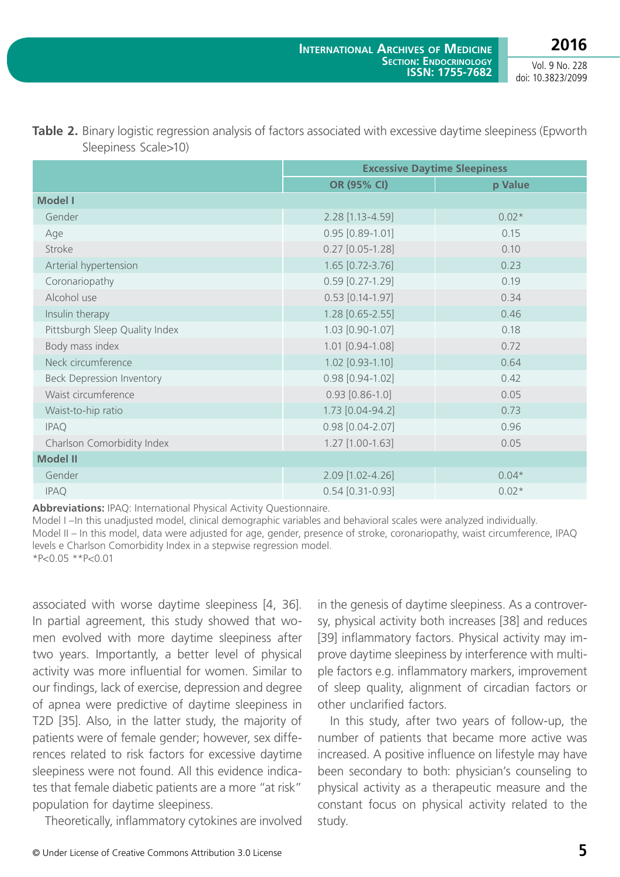**2016** Vol. 9 No. 228

doi: 10.3823/2099

|                                  | <b>Excessive Daytime Sleepiness</b> |         |
|----------------------------------|-------------------------------------|---------|
|                                  | OR (95% CI)                         | p Value |
| <b>Model I</b>                   |                                     |         |
| Gender                           | 2.28 [1.13-4.59]                    | $0.02*$ |
| Age                              | $0.95$ [0.89-1.01]                  | 0.15    |
| Stroke                           | $0.27$ [0.05-1.28]                  | 0.10    |
| Arterial hypertension            | 1.65 [0.72-3.76]                    | 0.23    |
| Coronariopathy                   | $0.59$ [0.27-1.29]                  | 0.19    |
| Alcohol use                      | $0.53$ [0.14-1.97]                  | 0.34    |
| Insulin therapy                  | 1.28 [0.65-2.55]                    | 0.46    |
| Pittsburgh Sleep Quality Index   | 1.03 [0.90-1.07]                    | 0.18    |
| Body mass index                  | 1.01 [0.94-1.08]                    | 0.72    |
| Neck circumference               | $1.02$ [0.93-1.10]                  | 0.64    |
| <b>Beck Depression Inventory</b> | $0.98$ [0.94-1.02]                  | 0.42    |
| Waist circumference              | $0.93$ $[0.86 - 1.0]$               | 0.05    |
| Waist-to-hip ratio               | 1.73 [0.04-94.2]                    | 0.73    |
| <b>IPAQ</b>                      | 0.98 [0.04-2.07]                    | 0.96    |
| Charlson Comorbidity Index       | $1.27$ [1.00-1.63]                  | 0.05    |
| <b>Model II</b>                  |                                     |         |
| Gender                           | 2.09 [1.02-4.26]                    | $0.04*$ |
| <b>IPAQ</b>                      | $0.54$ [0.31-0.93]                  | $0.02*$ |

| <b>Table 2.</b> Binary logistic regression analysis of factors associated with excessive daytime sleepiness (Epworth |
|----------------------------------------------------------------------------------------------------------------------|
| Sleepiness Scale>10)                                                                                                 |

**Abbreviations:** IPAQ: [International Physical Activity Questionnaire](http://www.ipaq.ki.se/).

Model I –In this unadjusted model, clinical demographic variables and behavioral scales were analyzed individually. Model II – In this model, data were adjusted for age, gender, presence of stroke, coronariopathy, waist circumference, IPAQ levels e Charlson Comorbidity Index in a stepwise regression model. \*P<0.05 \*\*P<0.01

associated with worse daytime sleepiness [4, 36]. In partial agreement, this study showed that women evolved with more daytime sleepiness after two years. Importantly, a better level of physical activity was more influential for women. Similar to our findings, lack of exercise, depression and degree of apnea were predictive of daytime sleepiness in T2D [35]. Also, in the latter study, the majority of patients were of female gender; however, sex differences related to risk factors for excessive daytime sleepiness were not found. All this evidence indicates that female diabetic patients are a more "at risk" population for daytime sleepiness.

Theoretically, inflammatory cytokines are involved

in the genesis of daytime sleepiness. As a controversy, physical activity both increases [38] and reduces [39] inflammatory factors. Physical activity may improve daytime sleepiness by interference with multiple factors e.g. inflammatory markers, improvement of sleep quality, alignment of circadian factors or other unclarified factors.

In this study, after two years of follow-up, the number of patients that became more active was increased. A positive influence on lifestyle may have been secondary to both: physician's counseling to physical activity as a therapeutic measure and the constant focus on physical activity related to the study.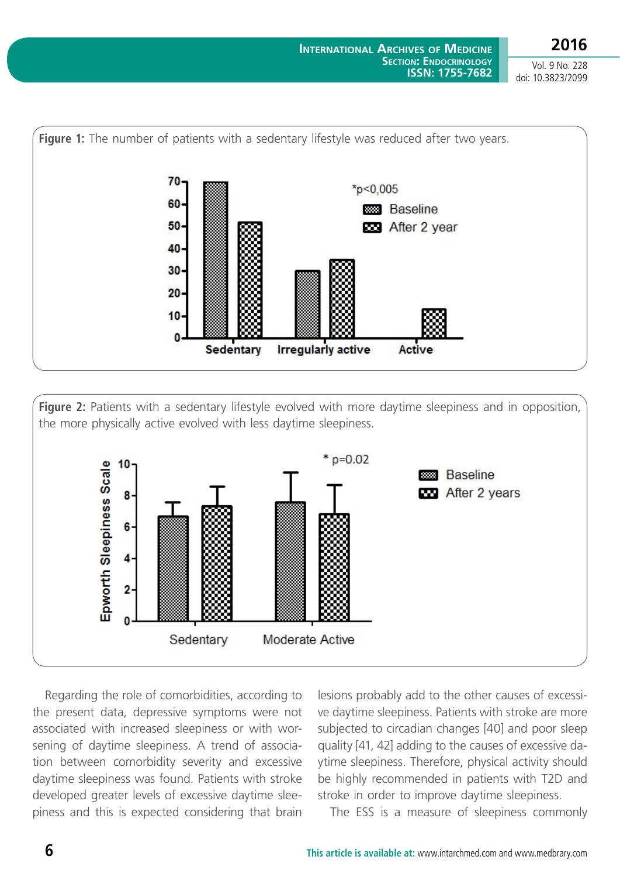

**Figure 2:** Patients with a sedentary lifestyle evolved with more daytime sleepiness and in opposition, the more physically active evolved with less daytime sleepiness.



Regarding the role of comorbidities, according to the present data, depressive symptoms were not associated with increased sleepiness or with worsening of daytime sleepiness. A trend of association between comorbidity severity and excessive daytime sleepiness was found. Patients with stroke developed greater levels of excessive daytime sleepiness and this is expected considering that brain

lesions probably add to the other causes of excessive daytime sleepiness. Patients with stroke are more subjected to circadian changes [40] and poor sleep quality [41, 42] adding to the causes of excessive daytime sleepiness. Therefore, physical activity should be highly recommended in patients with T2D and stroke in order to improve daytime sleepiness.

The ESS is a measure of sleepiness commonly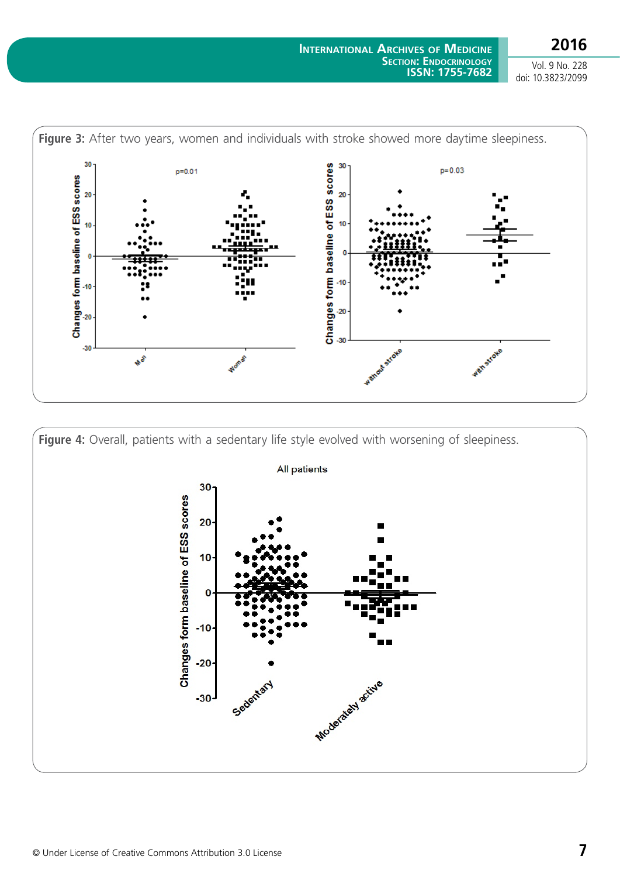**2016** Vol. 9 No. 228

doi: 10.3823/2099







 $30$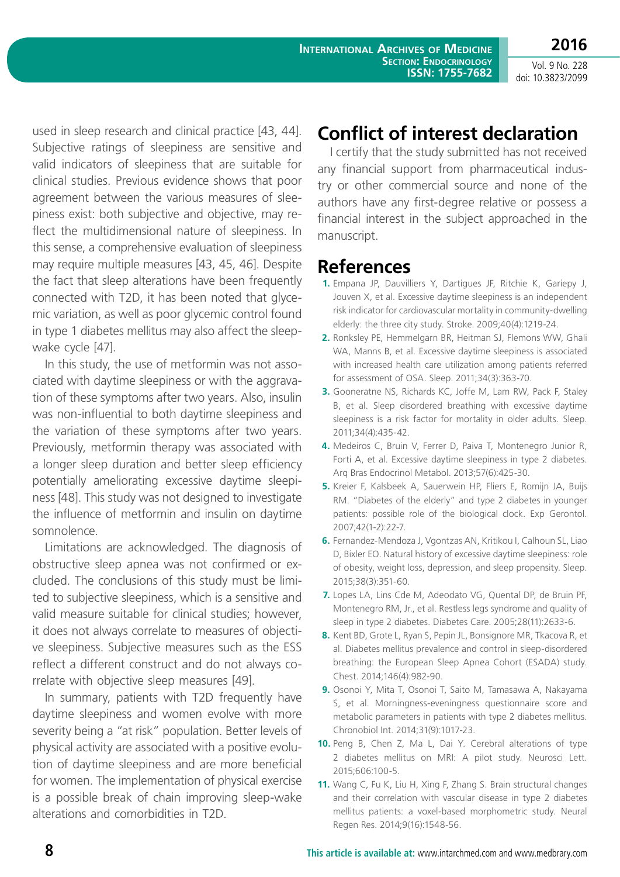**2016**

Vol. 9 No. 228 doi: 10.3823/2099

used in sleep research and clinical practice [43, 44]. Subjective ratings of sleepiness are sensitive and valid indicators of sleepiness that are suitable for clinical studies. Previous evidence shows that poor agreement between the various measures of sleepiness exist: both subjective and objective, may reflect the multidimensional nature of sleepiness. In this sense, a comprehensive evaluation of sleepiness may require multiple measures [43, 45, 46]. Despite the fact that sleep alterations have been frequently connected with T2D, it has been noted that glycemic variation, as well as poor glycemic control found in type 1 diabetes mellitus may also affect the sleepwake cycle [47].

In this study, the use of metformin was not associated with daytime sleepiness or with the aggravation of these symptoms after two years. Also, insulin was non-influential to both daytime sleepiness and the variation of these symptoms after two years. Previously, metformin therapy was associated with a longer sleep duration and better sleep efficiency potentially ameliorating excessive daytime sleepiness [48]. This study was not designed to investigate the influence of metformin and insulin on daytime somnolence.

Limitations are acknowledged. The diagnosis of obstructive sleep apnea was not confirmed or excluded. The conclusions of this study must be limited to subjective sleepiness, which is a sensitive and valid measure suitable for clinical studies; however, it does not always correlate to measures of objective sleepiness. Subjective measures such as the ESS reflect a different construct and do not always correlate with objective sleep measures [49].

In summary, patients with T2D frequently have daytime sleepiness and women evolve with more severity being a "at risk" population. Better levels of physical activity are associated with a positive evolution of daytime sleepiness and are more beneficial for women. The implementation of physical exercise is a possible break of chain improving sleep-wake alterations and comorbidities in T2D.

# **Conflict of interest declaration**

I certify that the study submitted has not received any financial support from pharmaceutical industry or other commercial source and none of the authors have any first-degree relative or possess a financial interest in the subject approached in the manuscript.

## **References**

- **1.** Empana JP, Dauvilliers Y, Dartigues JF, Ritchie K, Gariepy J, Jouven X, et al. Excessive daytime sleepiness is an independent risk indicator for cardiovascular mortality in community-dwelling elderly: the three city study. Stroke. 2009;40(4):1219-24.
- **2.** Ronksley PE, Hemmelgarn BR, Heitman SJ, Flemons WW, Ghali WA, Manns B, et al. Excessive daytime sleepiness is associated with increased health care utilization among patients referred for assessment of OSA. Sleep. 2011;34(3):363-70.
- **3.** Gooneratne NS, Richards KC, Joffe M, Lam RW, Pack F, Staley B, et al. Sleep disordered breathing with excessive daytime sleepiness is a risk factor for mortality in older adults. Sleep. 2011;34(4):435-42.
- **4.** Medeiros C, Bruin V, Ferrer D, Paiva T, Montenegro Junior R, Forti A, et al. Excessive daytime sleepiness in type 2 diabetes. Arq Bras Endocrinol Metabol. 2013;57(6):425-30.
- **5.** Kreier F, Kalsbeek A, Sauerwein HP, Fliers E, Romijn JA, Buijs RM. "Diabetes of the elderly" and type 2 diabetes in younger patients: possible role of the biological clock. Exp Gerontol. 2007;42(1-2):22-7.
- **6.** Fernandez-Mendoza J, Vgontzas AN, Kritikou I, Calhoun SL, Liao D, Bixler EO. Natural history of excessive daytime sleepiness: role of obesity, weight loss, depression, and sleep propensity. Sleep. 2015;38(3):351-60.
- **7.** Lopes LA, Lins Cde M, Adeodato VG, Quental DP, de Bruin PF, Montenegro RM, Jr., et al. Restless legs syndrome and quality of sleep in type 2 diabetes. Diabetes Care. 2005;28(11):2633-6.
- **8.** Kent BD, Grote L, Ryan S, Pepin JL, Bonsignore MR, Tkacova R, et al. Diabetes mellitus prevalence and control in sleep-disordered breathing: the European Sleep Apnea Cohort (ESADA) study. Chest. 2014;146(4):982-90.
- **9.** Osonoi Y, Mita T, Osonoi T, Saito M, Tamasawa A, Nakayama S, et al. Morningness-eveningness questionnaire score and metabolic parameters in patients with type 2 diabetes mellitus. Chronobiol Int. 2014;31(9):1017-23.
- **10.** Peng B, Chen Z, Ma L, Dai Y. Cerebral alterations of type 2 diabetes mellitus on MRI: A pilot study. Neurosci Lett. 2015;606:100-5.
- **11.** Wang C, Fu K, Liu H, Xing F, Zhang S. Brain structural changes and their correlation with vascular disease in type 2 diabetes mellitus patients: a voxel-based morphometric study. Neural Regen Res. 2014;9(16):1548-56.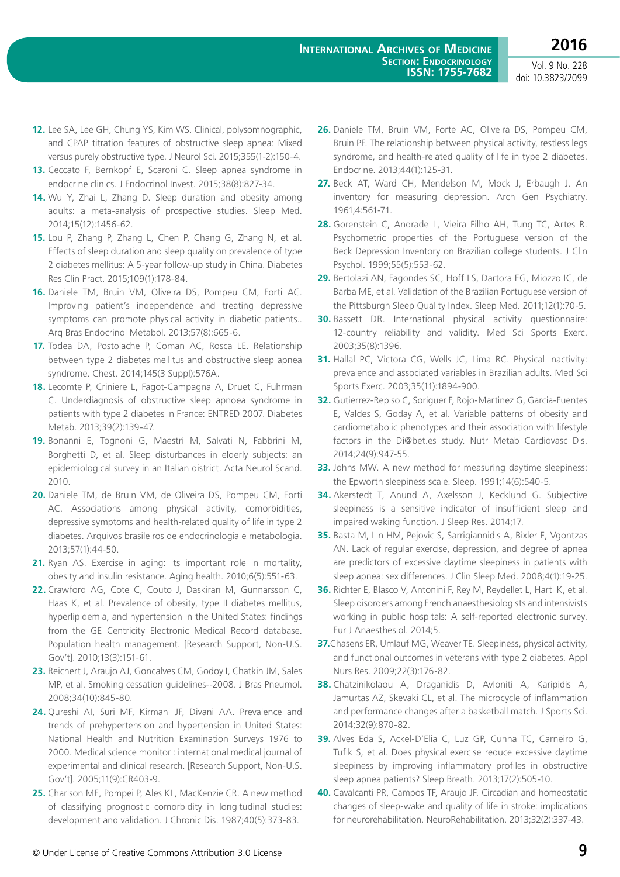- **12.** Lee SA, Lee GH, Chung YS, Kim WS. Clinical, polysomnographic, and CPAP titration features of obstructive sleep apnea: Mixed versus purely obstructive type. J Neurol Sci. 2015;355(1-2):150-4.
- **13.** Ceccato F, Bernkopf E, Scaroni C. Sleep apnea syndrome in endocrine clinics. J Endocrinol Invest. 2015;38(8):827-34.
- **14.** Wu Y, Zhai L, Zhang D. Sleep duration and obesity among adults: a meta-analysis of prospective studies. Sleep Med. 2014;15(12):1456-62.
- **15.** Lou P, Zhang P, Zhang L, Chen P, Chang G, Zhang N, et al. Effects of sleep duration and sleep quality on prevalence of type 2 diabetes mellitus: A 5-year follow-up study in China. Diabetes Res Clin Pract. 2015;109(1):178-84.
- **16.** Daniele TM, Bruin VM, Oliveira DS, Pompeu CM, Forti AC. [Improving patient's independence and treating depressive](http://www.ncbi.nlm.nih.gov/pubmed/24343639) [symptoms can promote physical activity in diabetic patients..](http://www.ncbi.nlm.nih.gov/pubmed/24343639) Arq Bras Endocrinol Metabol. 2013;57(8):665-6.
- **17.** Todea DA, Postolache P, Coman AC, Rosca LE. Relationship between type 2 diabetes mellitus and obstructive sleep apnea syndrome. Chest. 2014;145(3 Suppl):576A.
- **18.** Lecomte P, Criniere L, Fagot-Campagna A, Druet C, Fuhrman C. Underdiagnosis of obstructive sleep apnoea syndrome in patients with type 2 diabetes in France: ENTRED 2007. Diabetes Metab. 2013;39(2):139-47.
- **19.** Bonanni E, Tognoni G, Maestri M, Salvati N, Fabbrini M, Borghetti D, et al. Sleep disturbances in elderly subjects: an epidemiological survey in an Italian district. Acta Neurol Scand. 2010.
- **20.** Daniele TM, de Bruin VM, de Oliveira DS, Pompeu CM, Forti AC. Associations among physical activity, comorbidities, depressive symptoms and health-related quality of life in type 2 diabetes. Arquivos brasileiros de endocrinologia e metabologia. 2013;57(1):44-50.
- **21.** Ryan AS. Exercise in aging: its important role in mortality, obesity and insulin resistance. Aging health. 2010;6(5):551-63.
- **22.** Crawford AG, Cote C, Couto J, Daskiran M, Gunnarsson C, Haas K, et al. Prevalence of obesity, type II diabetes mellitus, hyperlipidemia, and hypertension in the United States: findings from the GE Centricity Electronic Medical Record database. Population health management. [Research Support, Non-U.S. Gov't]. 2010;13(3):151-61.
- **23.** Reichert J, Araujo AJ, Goncalves CM, Godoy I, Chatkin JM, Sales MP, et al. Smoking cessation guidelines--2008. J Bras Pneumol. 2008;34(10):845-80.
- **24.** Qureshi AI, Suri MF, Kirmani JF, Divani AA. Prevalence and trends of prehypertension and hypertension in United States: National Health and Nutrition Examination Surveys 1976 to 2000. Medical science monitor : international medical journal of experimental and clinical research. [Research Support, Non-U.S. Gov't]. 2005;11(9):CR403-9.
- **25.** Charlson ME, Pompei P, Ales KL, MacKenzie CR. A new method of classifying prognostic comorbidity in longitudinal studies: development and validation. J Chronic Dis. 1987;40(5):373-83.
- **26.** Daniele TM, Bruin VM, Forte AC, Oliveira DS, Pompeu CM, Bruin PF. [The relationship between physical activity, restless legs](http://www.ncbi.nlm.nih.gov/pubmed/23203003) [syndrome, and health-related quality of life in type 2 diabetes.](http://www.ncbi.nlm.nih.gov/pubmed/23203003) Endocrine. 2013;44(1):125-31.
- **27.** Beck AT, Ward CH, Mendelson M, Mock J, Erbaugh J. An inventory for measuring depression. Arch Gen Psychiatry. 1961;4:561-71.
- **28.** Gorenstein C, Andrade L, Vieira Filho AH, Tung TC, Artes R. Psychometric properties of the Portuguese version of the Beck Depression Inventory on Brazilian college students. J Clin Psychol. 1999;55(5):553-62.
- **29.** Bertolazi AN, Fagondes SC, Hoff LS, Dartora EG, Miozzo IC, de Barba ME, et al. Validation of the Brazilian Portuguese version of the Pittsburgh Sleep Quality Index. Sleep Med. 2011;12(1):70-5.
- **30.** Bassett DR. International physical activity questionnaire: 12-country reliability and validity. Med Sci Sports Exerc. 2003;35(8):1396.
- **31.** Hallal PC, Victora CG, Wells JC, Lima RC. Physical inactivity: prevalence and associated variables in Brazilian adults. Med Sci Sports Exerc. 2003;35(11):1894-900.
- **32.** Gutierrez-Repiso C, Soriguer F, Rojo-Martinez G, Garcia-Fuentes E, Valdes S, Goday A, et al. Variable patterns of obesity and cardiometabolic phenotypes and their association with lifestyle factors in the Di@bet.es study. Nutr Metab Cardiovasc Dis. 2014;24(9):947-55.
- **33.** Johns MW. A new method for measuring daytime sleepiness: the Epworth sleepiness scale. Sleep. 1991;14(6):540-5.
- **34.** Akerstedt T, Anund A, Axelsson J, Kecklund G. Subjective sleepiness is a sensitive indicator of insufficient sleep and impaired waking function. J Sleep Res. 2014;17.
- **35.** Basta M, Lin HM, Pejovic S, Sarrigiannidis A, Bixler E, Vgontzas AN. Lack of regular exercise, depression, and degree of apnea are predictors of excessive daytime sleepiness in patients with sleep apnea: sex differences. J Clin Sleep Med. 2008;4(1):19-25.
- **36.** Richter E, Blasco V, Antonini F, Rey M, Reydellet L, Harti K, et al. Sleep disorders among French anaesthesiologists and intensivists working in public hospitals: A self-reported electronic survey. Eur J Anaesthesiol. 2014;5.
- **37.**Chasens ER, Umlauf MG, Weaver TE. Sleepiness, physical activity, and functional outcomes in veterans with type 2 diabetes. Appl Nurs Res. 2009;22(3):176-82.
- **38.** Chatzinikolaou A, Draganidis D, Avloniti A, Karipidis A, Jamurtas AZ, Skevaki CL, et al. The microcycle of inflammation and performance changes after a basketball match. J Sports Sci. 2014;32(9):870-82.
- **39.** Alves Eda S, Ackel-D'Elia C, Luz GP, Cunha TC, Carneiro G, Tufik S, et al. Does physical exercise reduce excessive daytime sleepiness by improving inflammatory profiles in obstructive sleep apnea patients? Sleep Breath. 2013;17(2):505-10.
- **40.** Cavalcanti PR, Campos TF, Araujo JF. Circadian and homeostatic changes of sleep-wake and quality of life in stroke: implications for neurorehabilitation. NeuroRehabilitation. 2013;32(2):337-43.